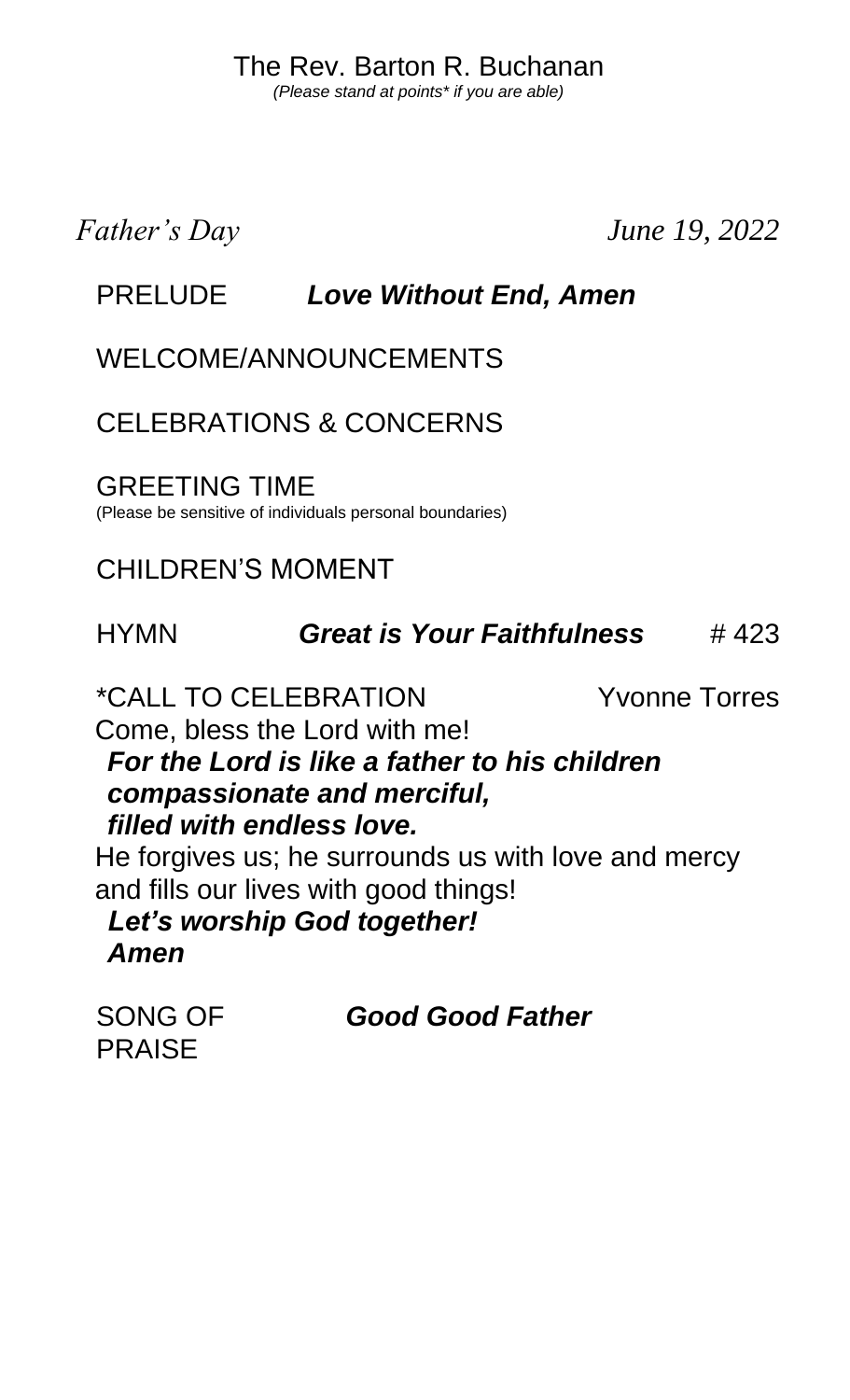*Father's Day June 19, 2022*

# PRELUDE *Love Without End, Amen*

# WELCOME/ANNOUNCEMENTS

# CELEBRATIONS & CONCERNS

GREETING TIME (Please be sensitive of individuals personal boundaries)

# CHILDREN'S MOMENT

# HYMN *Great is Your Faithfulness* # 423

\*CALL TO CELEBRATION Yvonne Torres Come, bless the Lord with me! *For the Lord is like a father to his children compassionate and merciful, filled with endless love.* He forgives us; he surrounds us with love and mercy

and fills our lives with good things! *Let's worship God together!*

*Amen*

SONG OF PRAISE *Good Good Father*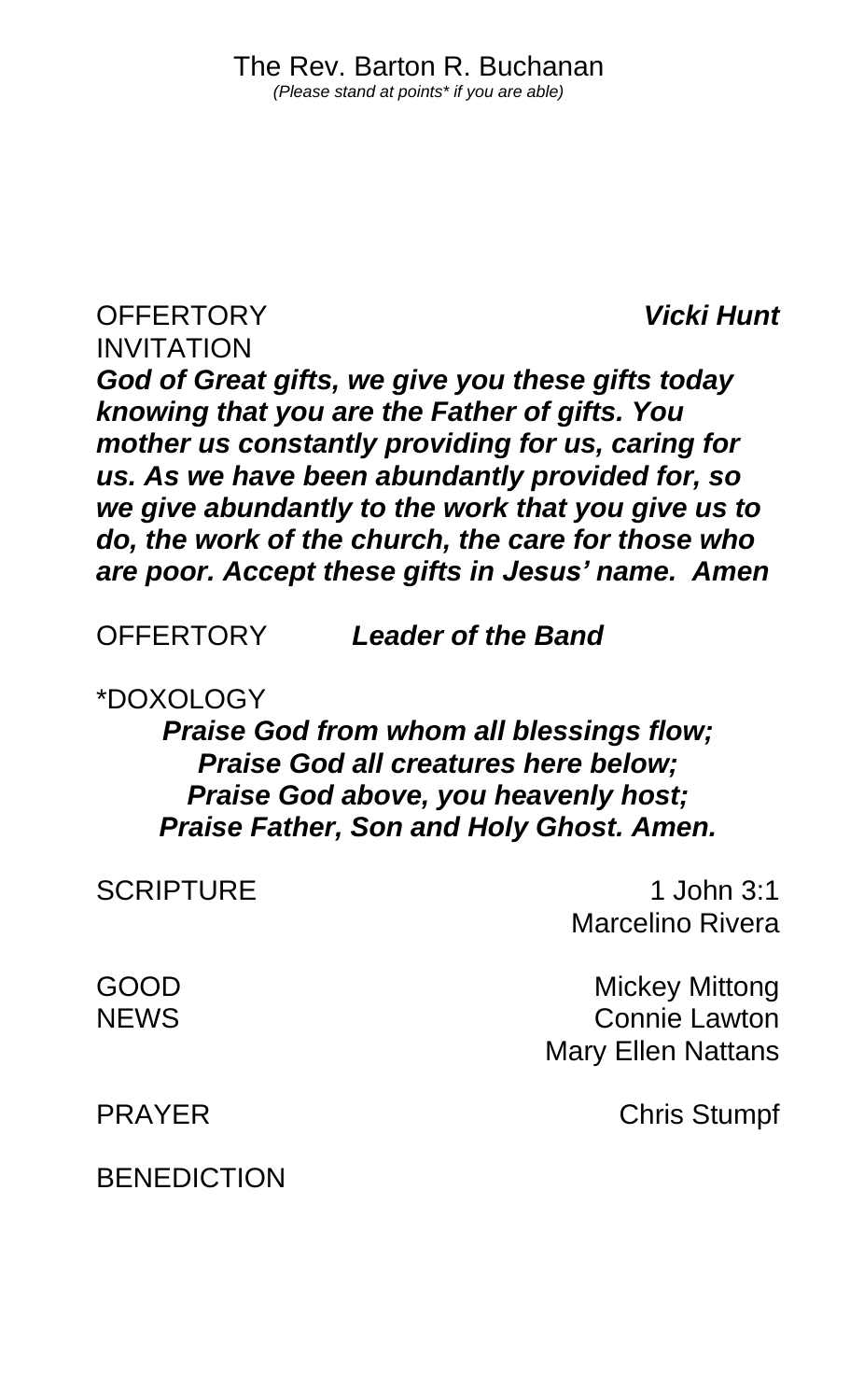# **OFFERTORY** INVITATION

 *Vicki Hunt*

*God of Great gifts, we give you these gifts today knowing that you are the Father of gifts. You mother us constantly providing for us, caring for us. As we have been abundantly provided for, so we give abundantly to the work that you give us to do, the work of the church, the care for those who are poor. Accept these gifts in Jesus' name. Amen*

OFFERTORY *Leader of the Band*

# \*DOXOLOGY

## *Praise God from whom all blessings flow; Praise God all creatures here below; Praise God above, you heavenly host; Praise Father, Son and Holy Ghost. Amen.*

SCRIPTURE 1 John 3:1 Marcelino Rivera GOOD **NEWS** Mickey Mittong Connie Lawton Mary Ellen Nattans PRAYER Chris Stumpf

BENEDICTION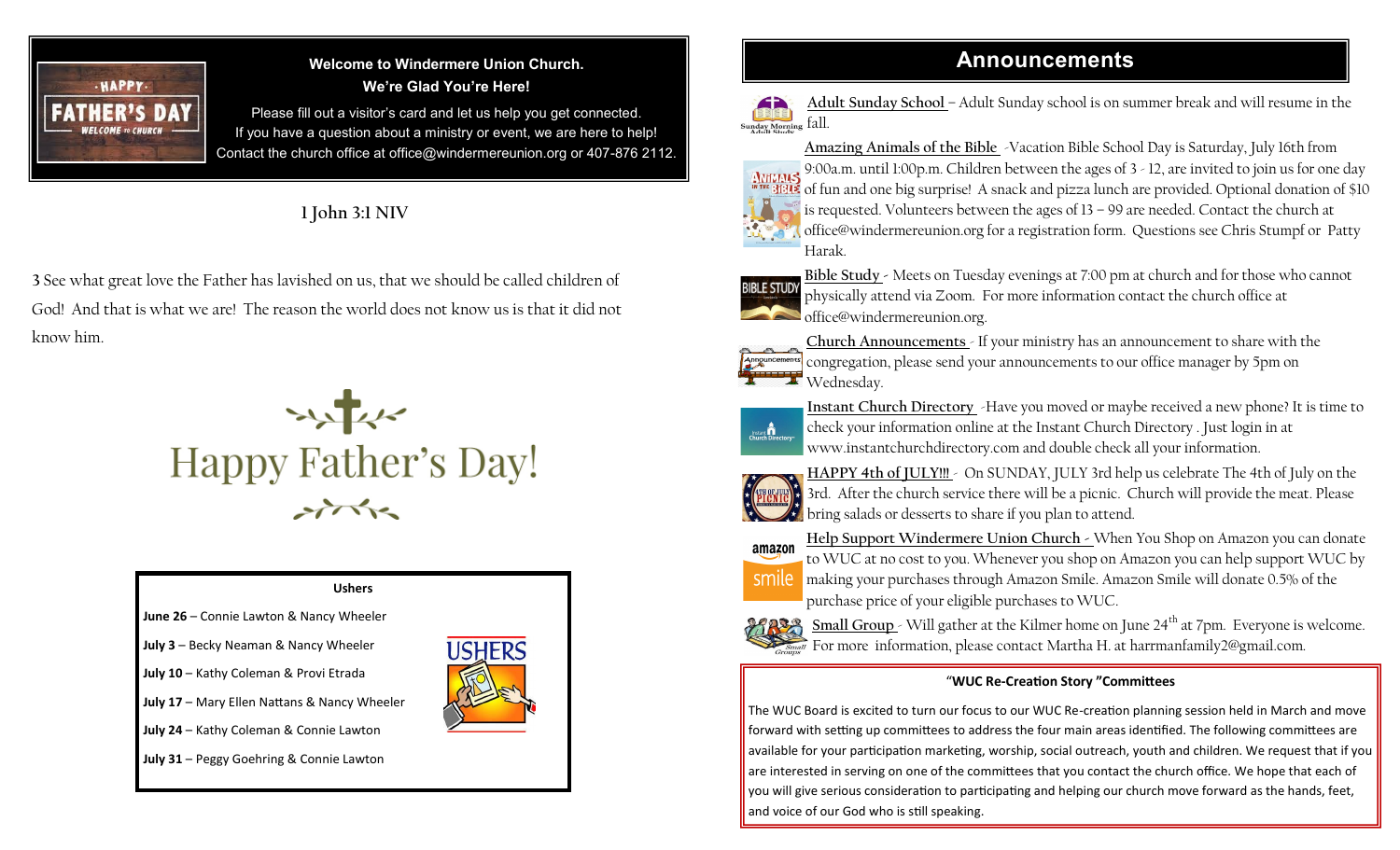

#### **Welcome to Windermere Union Church. We're Glad You're Here!**

Please fill out a visitor's card and let us help you get connected. If you have a question about a ministry or event, we are here to help! Contact the church office at office@windermereunion.org or 407-876 2112.

### **1 John 3:1 NIV**

**3** See what great love the Father has lavished on us, that we should be called children of God! And that is what we are! The reason the world does not know us is that it did not know him.



### **Ushers**

- **June 26**  Connie Lawton & Nancy Wheeler
- **July 3**  Becky Neaman & Nancy Wheeler
- **July 10**  Kathy Coleman & Provi Etrada
- **July 17**  Mary Ellen Nattans & Nancy Wheeler
- **July 24**  Kathy Coleman & Connie Lawton
- **July 31**  Peggy Goehring & Connie Lawton



### **Announcements**



**Adult Sunday School** – Adult Sunday school is on summer break and will resume in the

**Amazing Animals of the Bible** -Vacation Bible School Day is Saturday, July 16th from 9:00a.m. until 1:00p.m. Children between the ages of 3 - 12, are invited to join us for one day **ANTWARS** of fun and one big surprise! A snack and pizza lunch are provided. Optional donation of \$10 is requested. Volunteers between the ages of 13 – 99 are needed. Contact the church at office@windermereunion.org for a registration form. Questions see Chris Stumpf or Patty Harak.



**Bible Study -** Meets on Tuesday evenings at 7:00 pm at church and for those who cannot physically attend via Zoom. For more information contact the church office at office@windermereunion.org.

**Church Announcements** - If your ministry has an announcement to share with the congregation, please send your announcements to our office manager by 5pm on Wednesday.



**Instant Church Directory** -Have you moved or maybe received a new phone? It is time to check your information online at the Instant Church Directory . Just login in at www.instantchurchdirectory.com and double check all your information.



**HAPPY 4th of JULY!!!** - On SUNDAY, JULY 3rd help us celebrate The 4th of July on the 3rd. After the church service there will be a picnic. Church will provide the meat. Please bring salads or desserts to share if you plan to attend.



**Help Support Windermere Union Church -** When You Shop on Amazon you can donate to WUC at no cost to you. Whenever you shop on Amazon you can help support WUC by **SMile** making your purchases through Amazon Smile. Amazon Smile will donate 0.5% of the purchase price of your eligible purchases to WUC.



**SMALL Small Group - Will gather at the Kilmer home on June 24<sup>th</sup> at 7pm. Everyone is welcome.**  $\overline{\mathbb{F}}$  For more information, please contact Martha H. at harrmanfamily2@gmail.com.

#### "**WUC Re-Creation Story "Committees**

The WUC Board is excited to turn our focus to our WUC Re-creation planning session held in March and move forward with setting up committees to address the four main areas identified. The following committees are available for your participation marketing, worship, social outreach, youth and children. We request that if you are interested in serving on one of the committees that you contact the church office. We hope that each of you will give serious consideration to participating and helping our church move forward as the hands, feet, and voice of our God who is still speaking.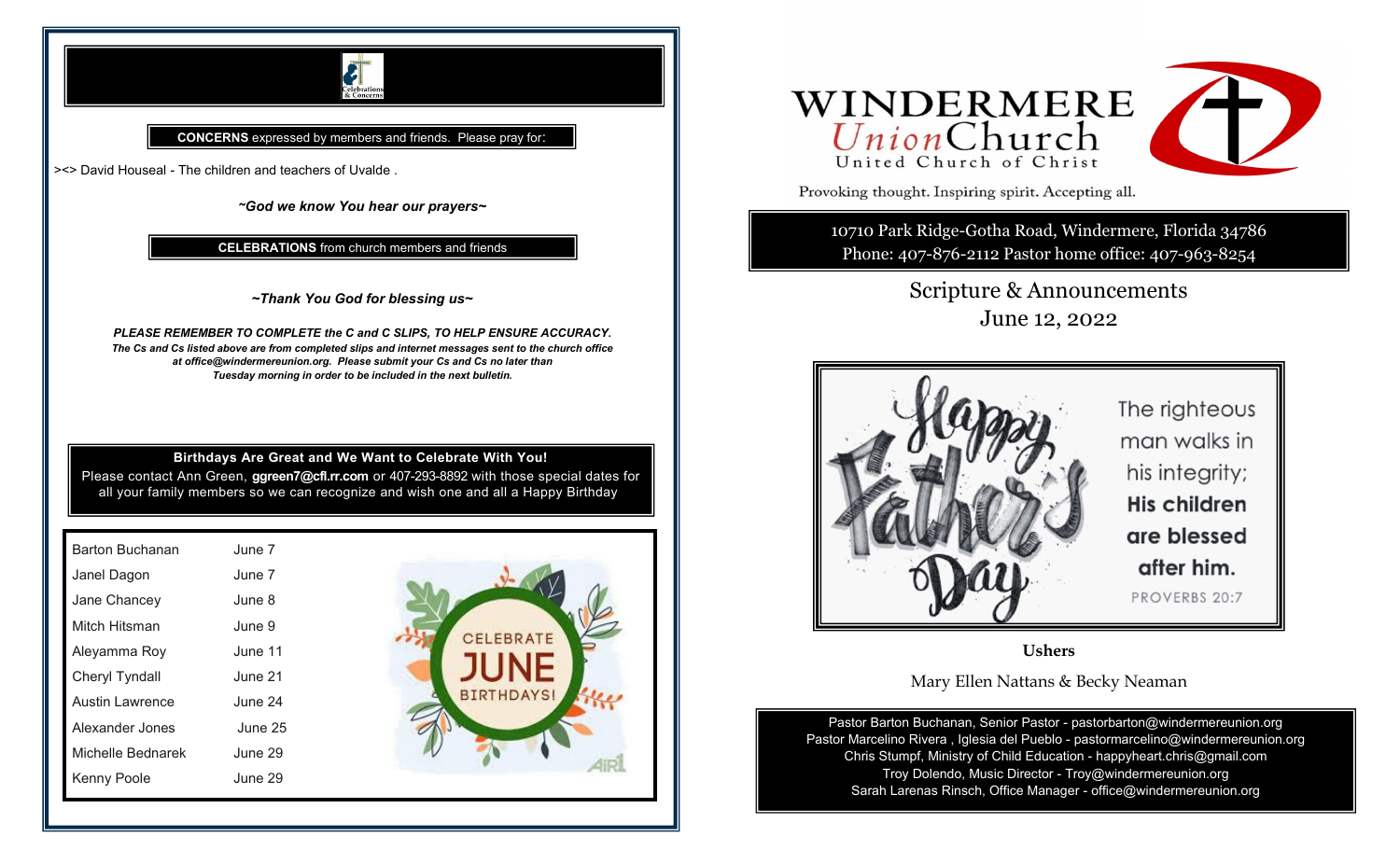

#### **CONCERNS** expressed by members and friends. Please pray for:

><> David Houseal - The children and teachers of Uvalde .

*~God we know You hear our prayers~*

#### **CELEBRATIONS** from church members and friends

*~Thank You God for blessing us~*

*PLEASE REMEMBER TO COMPLETE the C and C SLIPS, TO HELP ENSURE ACCURACY. The Cs and Cs listed above are from completed slips and internet messages sent to the church office at office@windermereunion.org. Please submit your Cs and Cs no later than Tuesday morning in order to be included in the next bulletin.*

#### **Birthdays Are Great and We Want to Celebrate With You!**

Please contact Ann Green, **[ggreen7@cfl.rr.com](mailto:ggreen7@cfl.rr.com)** or 407-293-8892 with those special dates for all your family members so we can recognize and wish one and all a Happy Birthday

| Barton Buchanan        | June 7  |               |
|------------------------|---------|---------------|
| Janel Dagon            | June 7  |               |
| Jane Chancey           | June 8  |               |
| Mitch Hitsman          | June 9  |               |
| Aleyamma Roy           | June 11 | <b>CELEBI</b> |
| Cheryl Tyndall         | June 21 |               |
| <b>Austin Lawrence</b> | June 24 | <b>BIRTHD</b> |
| Alexander Jones        | June 25 |               |
| Michelle Bednarek      | June 29 |               |
| Kenny Poole            | June 29 |               |





Provoking thought. Inspiring spirit. Accepting all.

10710 Park Ridge-Gotha Road, Windermere, Florida 34786 Phone: 407-876-2112 Pastor home office: 407-963-8254

> Scripture & Announcements June 12, 2022



**Ushers**

Mary Ellen Nattans & Becky Neaman

Pastor Barton Buchanan, Senior Pastor - pastorbarton@windermereunion.org Pastor Marcelino Rivera , Iglesia del Pueblo - pastormarcelino@windermereunion.org Chris Stumpf, Ministry of Child Education - happyheart.chris@gmail.com Troy Dolendo, Music Director - Troy@windermereunion.org Sarah Larenas Rinsch, Office Manager - office@windermereunion.org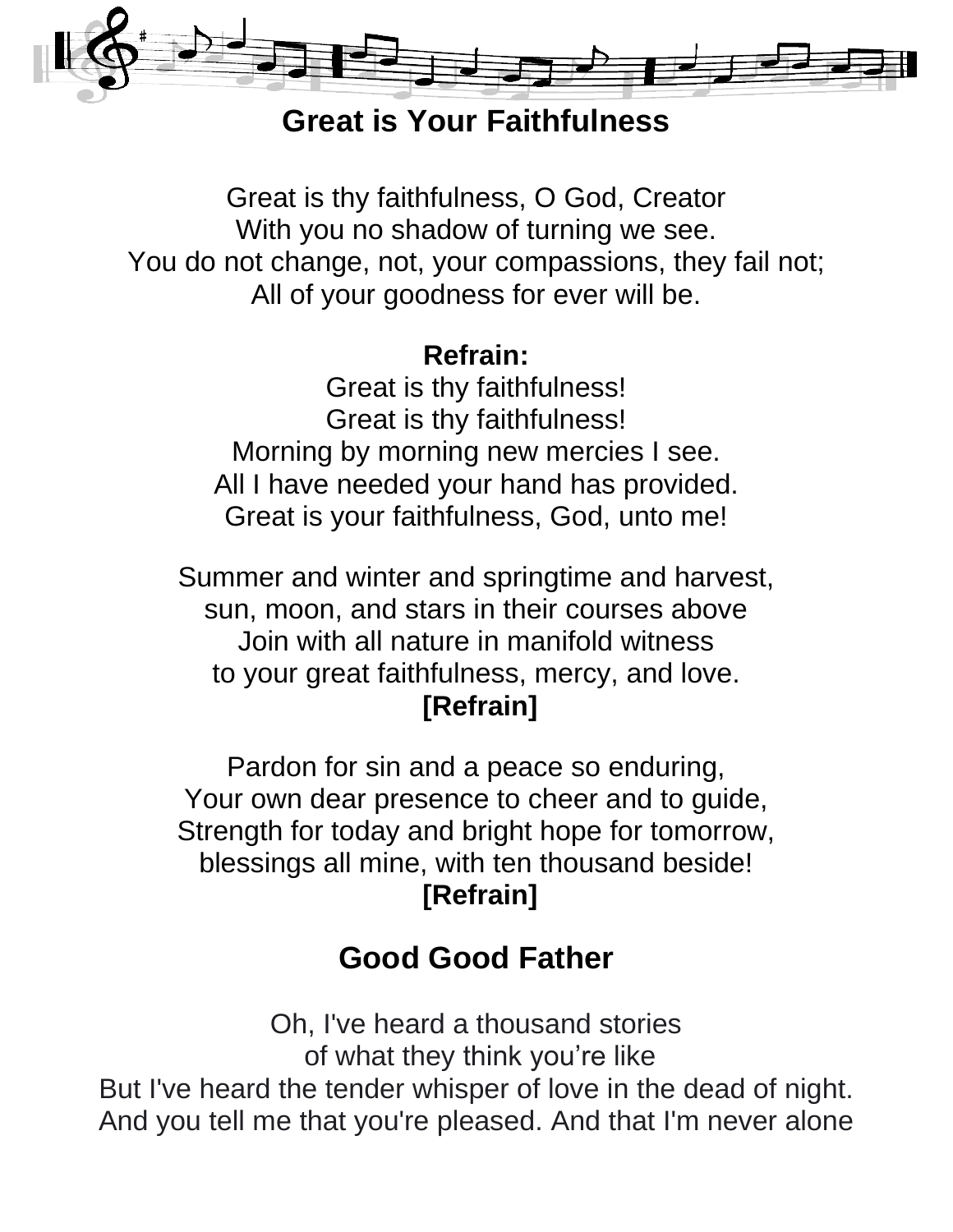

# **Great is Your Faithfulness**

Great is thy faithfulness, O God, Creator With you no shadow of turning we see. You do not change, not, your compassions, they fail not; All of your goodness for ever will be.

### **Refrain:**

Great is thy faithfulness! Great is thy faithfulness! Morning by morning new mercies I see. All I have needed your hand has provided. Great is your faithfulness, God, unto me!

Summer and winter and springtime and harvest, sun, moon, and stars in their courses above Join with all nature in manifold witness to your great faithfulness, mercy, and love. **[Refrain]**

Pardon for sin and a peace so enduring, Your own dear presence to cheer and to guide, Strength for today and bright hope for tomorrow, blessings all mine, with ten thousand beside! **[Refrain]**

# **Good Good Father**

Oh, I've heard a thousand stories of what they think you're like But I've heard the tender whisper of love in the dead of night. And you tell me that you're pleased. And that I'm never alone